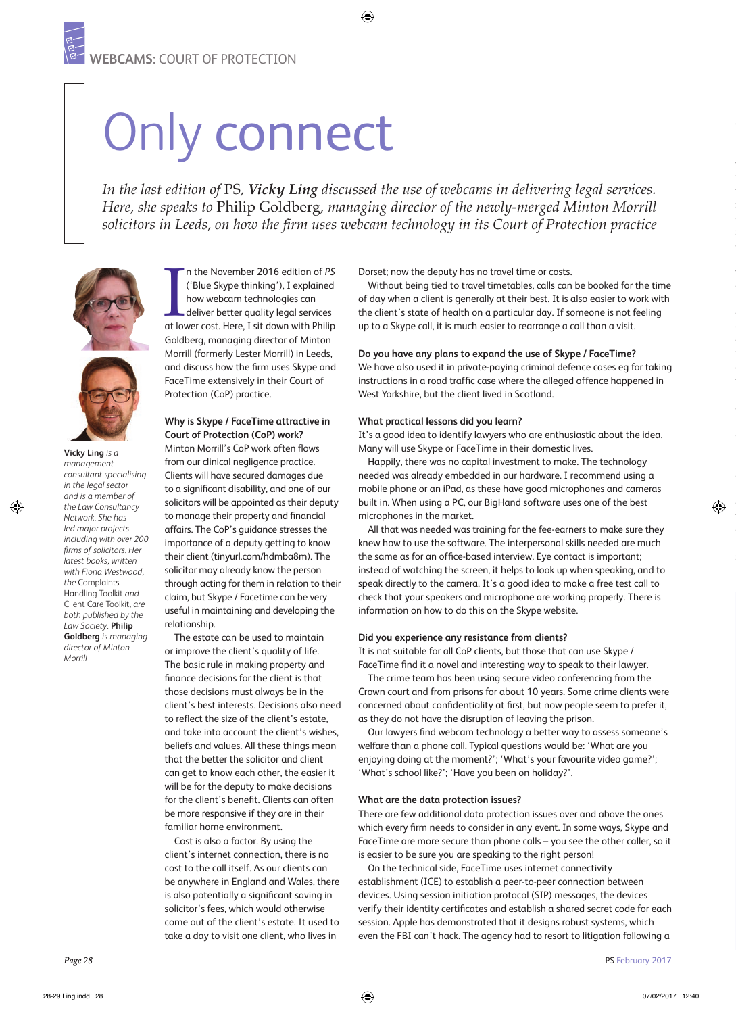# Only connect

*In the last edition of* PS*, Vicky Ling discussed the use of webcams in delivering legal services. Here, she speaks to* Philip Goldberg*, managing director of the newly-merged Minton Morrill solicitors in Leeds, on how the firm uses webcam technology in its Court of Protection practice*



**Vicky Ling** *is a management consultant specialising in the legal sector and is a member of the Law Consultancy Network. She has led major projects including with over 200 firms of solicitors. Her latest books, written with Fiona Westwood, the* Complaints Handling Toolkit *and*  Client Care Toolkit*, are both published by the Law Society.* **Philip Goldberg** *is managing director of Minton Morrill*

In the November 2016 edition of PS<br>
('Blue Skype thinking'), I explained<br>
how webcam technologies can<br>
deliver better quality legal services<br>
at lower cost. Here, I sit down with Philip n the November 2016 edition of *PS*  ('Blue Skype thinking'), I explained how webcam technologies can deliver better quality legal services Goldberg, managing director of Minton Morrill (formerly Lester Morrill) in Leeds, and discuss how the firm uses Skype and FaceTime extensively in their Court of Protection (CoP) practice.

### **Why is Skype / FaceTime attractive in Court of Protection (CoP) work?**

Minton Morrill's CoP work often flows from our clinical negligence practice. Clients will have secured damages due to a significant disability, and one of our solicitors will be appointed as their deputy to manage their property and financial affairs. The CoP's guidance stresses the importance of a deputy getting to know their client (tinyurl.com/hdmba8m). The solicitor may already know the person through acting for them in relation to their claim, but Skype / Facetime can be very useful in maintaining and developing the relationship.

The estate can be used to maintain or improve the client's quality of life. The basic rule in making property and finance decisions for the client is that those decisions must always be in the client's best interests. Decisions also need to reflect the size of the client's estate, and take into account the client's wishes, beliefs and values. All these things mean that the better the solicitor and client can get to know each other, the easier it will be for the deputy to make decisions for the client's benefit. Clients can often be more responsive if they are in their familiar home environment.

Cost is also a factor. By using the client's internet connection, there is no cost to the call itself. As our clients can be anywhere in England and Wales, there is also potentially a significant saving in solicitor's fees, which would otherwise come out of the client's estate. It used to take a day to visit one client, who lives in

Dorset; now the deputy has no travel time or costs.

Without being tied to travel timetables, calls can be booked for the time of day when a client is generally at their best. It is also easier to work with the client's state of health on a particular day. If someone is not feeling up to a Skype call, it is much easier to rearrange a call than a visit.

### **Do you have any plans to expand the use of Skype / FaceTime?**

We have also used it in private-paying criminal defence cases eg for taking instructions in a road traffic case where the alleged offence happened in West Yorkshire, but the client lived in Scotland.

#### **What practical lessons did you learn?**

It's a good idea to identify lawyers who are enthusiastic about the idea. Many will use Skype or FaceTime in their domestic lives.

Happily, there was no capital investment to make. The technology needed was already embedded in our hardware. I recommend using a mobile phone or an iPad, as these have good microphones and cameras built in. When using a PC, our BigHand software uses one of the best microphones in the market.

All that was needed was training for the fee-earners to make sure they knew how to use the software. The interpersonal skills needed are much the same as for an office-based interview. Eye contact is important; instead of watching the screen, it helps to look up when speaking, and to speak directly to the camera. It's a good idea to make a free test call to check that your speakers and microphone are working properly. There is information on how to do this on the Skype website.

### **Did you experience any resistance from clients?**

It is not suitable for all CoP clients, but those that can use Skype / FaceTime find it a novel and interesting way to speak to their lawyer.

The crime team has been using secure video conferencing from the Crown court and from prisons for about 10 years. Some crime clients were concerned about confidentiality at first, but now people seem to prefer it, as they do not have the disruption of leaving the prison.

Our lawyers find webcam technology a better way to assess someone's welfare than a phone call. Typical questions would be: 'What are you enjoying doing at the moment?'; 'What's your favourite video game?'; 'What's school like?'; 'Have you been on holiday?'.

#### **What are the data protection issues?**

There are few additional data protection issues over and above the ones which every firm needs to consider in any event. In some ways, Skype and FaceTime are more secure than phone calls – you see the other caller, so it is easier to be sure you are speaking to the right person!

On the technical side, FaceTime uses internet connectivity establishment (ICE) to establish a peer-to-peer connection between devices. Using session initiation protocol (SIP) messages, the devices verify their identity certificates and establish a shared secret code for each session. Apple has demonstrated that it designs robust systems, which even the FBI can't hack. The agency had to resort to litigation following a